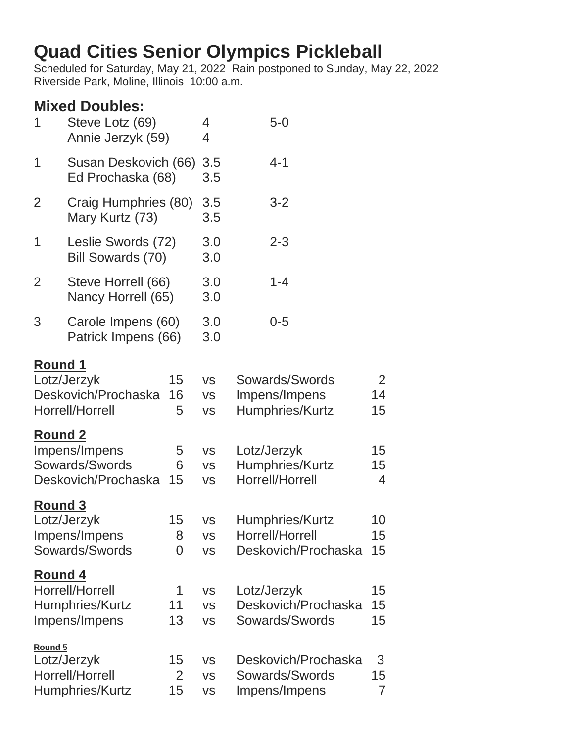# **Quad Cities Senior Olympics Pickleball**

Scheduled for Saturday, May 21, 2022 Rain postponed to Sunday, May 22, 2022 Riverside Park, Moline, Illinois 10:00 a.m.

# **Mixed Doubles:**

| 1                                | Steve Lotz (69)<br>Annie Jerzyk (59)                                                     |                         | 4<br>4                                                        | $5-0$                                                                                |                                        |
|----------------------------------|------------------------------------------------------------------------------------------|-------------------------|---------------------------------------------------------------|--------------------------------------------------------------------------------------|----------------------------------------|
| 1                                | Susan Deskovich (66)<br>Ed Prochaska (68)                                                |                         | 3.5<br>3.5                                                    | $4 - 1$                                                                              |                                        |
| $\overline{2}$                   | Craig Humphries (80)<br>Mary Kurtz (73)                                                  |                         | 3.5<br>3.5                                                    | $3 - 2$                                                                              |                                        |
| 1                                | Leslie Swords (72)<br>Bill Sowards (70)                                                  |                         | 3.0<br>3.0                                                    | $2 - 3$                                                                              |                                        |
| $\overline{2}$                   | Steve Horrell (66)<br>Nancy Horrell (65)                                                 |                         | 3.0<br>3.0                                                    | $1 - 4$                                                                              |                                        |
| 3                                | Carole Impens (60)<br>Patrick Impens (66)                                                |                         | 3.0<br>3.0                                                    | $0 - 5$                                                                              |                                        |
| <b>Round 1</b><br><b>Round 2</b> | Lotz/Jerzyk<br>Deskovich/Prochaska<br>Horrell/Horrell<br>Impens/Impens<br>Sowards/Swords | 15<br>16<br>5<br>5<br>6 | <b>VS</b><br><b>VS</b><br><b>VS</b><br><b>VS</b><br><b>VS</b> | Sowards/Swords<br>Impens/Impens<br>Humphries/Kurtz<br>Lotz/Jerzyk<br>Humphries/Kurtz | $\overline{2}$<br>14<br>15<br>15<br>15 |
| <b>Round 3</b>                   | Deskovich/Prochaska<br>Lotz/Jerzyk<br>Impens/Impens<br>Sowards/Swords                    | 15<br>15<br>8<br>0      | <b>VS</b><br><b>VS</b><br>VS<br><b>VS</b>                     | Horrell/Horrell<br>Humphries/Kurtz<br>Horrell/Horrell<br>Deskovich/Prochaska         | $\overline{4}$<br>10<br>15<br>15       |
| <b>Round 4</b>                   | Horrell/Horrell<br>Humphries/Kurtz<br>Impens/Impens                                      | 1<br>11<br>13           | <b>VS</b><br><b>VS</b><br><b>VS</b>                           | Lotz/Jerzyk<br>Deskovich/Prochaska<br>Sowards/Swords                                 | 15<br>15<br>15                         |
| Round 5                          | Lotz/Jerzyk<br>Horrell/Horrell<br>Humphries/Kurtz                                        | 15<br>2<br>15           | <b>VS</b><br><b>VS</b><br><b>VS</b>                           | Deskovich/Prochaska<br>Sowards/Swords<br>Impens/Impens                               | 3<br>15<br>$\overline{7}$              |